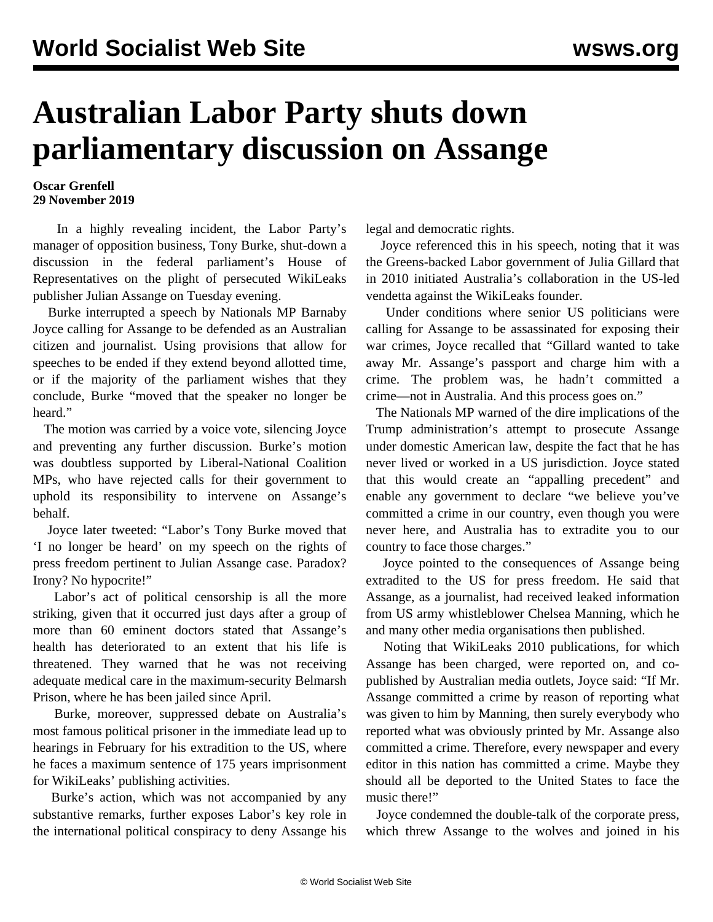## **Australian Labor Party shuts down parliamentary discussion on Assange**

## **Oscar Grenfell 29 November 2019**

 In a highly revealing incident, the Labor Party's manager of opposition business, Tony Burke, shut-down a discussion in the federal parliament's House of Representatives on the plight of persecuted WikiLeaks publisher Julian Assange on Tuesday evening.

 Burke interrupted a speech by Nationals MP Barnaby Joyce calling for Assange to be defended as an Australian citizen and journalist. Using provisions that allow for speeches to be ended if they extend beyond allotted time, or if the majority of the parliament wishes that they conclude, Burke "moved that the speaker no longer be heard."

 The motion was carried by a voice vote, silencing Joyce and preventing any further discussion. Burke's motion was doubtless supported by Liberal-National Coalition MPs, who have rejected calls for their government to uphold its responsibility to intervene on Assange's behalf.

 Joyce later tweeted: "Labor's Tony Burke moved that 'I no longer be heard' on my speech on the rights of press freedom pertinent to Julian Assange case. Paradox? Irony? No hypocrite!"

 Labor's act of political censorship is all the more striking, given that it occurred just days after a group of more than [60 eminent doctors](/en/articles/2019/11/25/lead-n25.html) stated that Assange's health has deteriorated to an extent that his life is threatened. They warned that he was not receiving adequate medical care in the maximum-security Belmarsh Prison, where he has been jailed since April.

 Burke, moreover, suppressed debate on Australia's most famous political prisoner in the immediate lead up to hearings in February for his extradition to the US, where he faces a maximum sentence of 175 years imprisonment for WikiLeaks' publishing activities.

 Burke's action, which was not accompanied by any substantive remarks, further exposes Labor's key role in the international political conspiracy to deny Assange his legal and democratic rights.

 Joyce referenced this in his speech, noting that it was the Greens-backed Labor government of Julia Gillard that in 2010 initiated Australia's collaboration in the US-led vendetta against the WikiLeaks founder.

 Under conditions where senior US politicians were calling for Assange to be assassinated for exposing their war crimes, Joyce recalled that "Gillard wanted to take away Mr. Assange's passport and charge him with a crime. The problem was, he hadn't committed a crime—not in Australia. And this process goes on."

 The Nationals MP warned of the dire implications of the Trump administration's attempt to prosecute Assange under domestic American law, despite the fact that he has never lived or worked in a US jurisdiction. Joyce stated that this would create an "appalling precedent" and enable any government to declare "we believe you've committed a crime in our country, even though you were never here, and Australia has to extradite you to our country to face those charges."

 Joyce pointed to the consequences of Assange being extradited to the US for press freedom. He said that Assange, as a journalist, had received leaked information from US army whistleblower Chelsea Manning, which he and many other media organisations then published.

 Noting that WikiLeaks 2010 publications, for which Assange has been charged, were reported on, and copublished by Australian media outlets, Joyce said: "If Mr. Assange committed a crime by reason of reporting what was given to him by Manning, then surely everybody who reported what was obviously printed by Mr. Assange also committed a crime. Therefore, every newspaper and every editor in this nation has committed a crime. Maybe they should all be deported to the United States to face the music there!"

 Joyce condemned the double-talk of the corporate press, which threw Assange to the wolves and joined in his